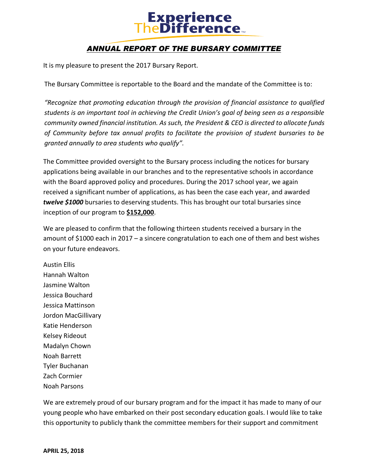## **Experience**<br>TheDifference

## *ANNUAL REPORT OF THE BURSARY COMMITTEE*

It is my pleasure to present the 2017 Bursary Report.

The Bursary Committee is reportable to the Board and the mandate of the Committee is to:

*"Recognize that promoting education through the provision of financial assistance to qualified students is an important tool in achieving the Credit Union's goal of being seen as a responsible community owned financial institution. As such, the President & CEO is directed to allocate funds of Community before tax annual profits to facilitate the provision of student bursaries to be granted annually to area students who qualify".*

The Committee provided oversight to the Bursary process including the notices for bursary applications being available in our branches and to the representative schools in accordance with the Board approved policy and procedures. During the 2017 school year, we again received a significant number of applications, as has been the case each year, and awarded *twelve \$1000* bursaries to deserving students. This has brought our total bursaries since inception of our program to **\$152,000**.

We are pleased to confirm that the following thirteen students received a bursary in the amount of \$1000 each in 2017 – a sincere congratulation to each one of them and best wishes on your future endeavors.

Austin Ellis Hannah Walton Jasmine Walton Jessica Bouchard Jessica Mattinson Jordon MacGillivary Katie Henderson Kelsey Rideout Madalyn Chown Noah Barrett Tyler Buchanan Zach Cormier Noah Parsons

We are extremely proud of our bursary program and for the impact it has made to many of our young people who have embarked on their post secondary education goals. I would like to take this opportunity to publicly thank the committee members for their support and commitment